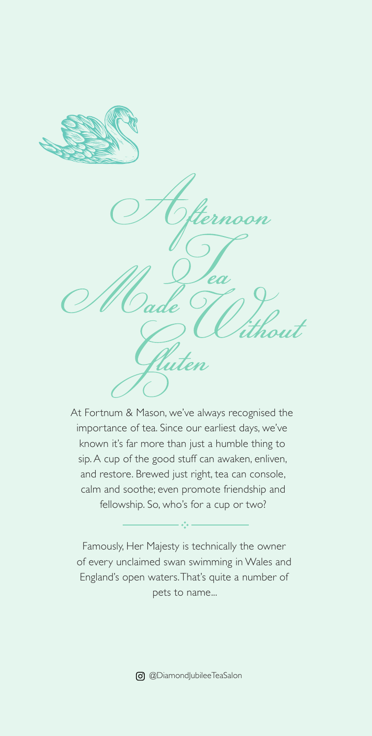

ea

At Fortnum & Mason, we've always recognised the importance of tea. Since our earliest days, we've known it's far more than just a humble thing to sip. A cup of the good stuff can awaken, enliven, and restore. Brewed just right, tea can console, calm and soothe; even promote friendship and fellowship. So, who's for a cup or two?

Famously, Her Majesty is technically the owner of every unclaimed swan swimming in Wales and England's open waters. That's quite a number of pets to name...

 $\mathbb{R}^4$ 

@DiamondJubileeTeaSalon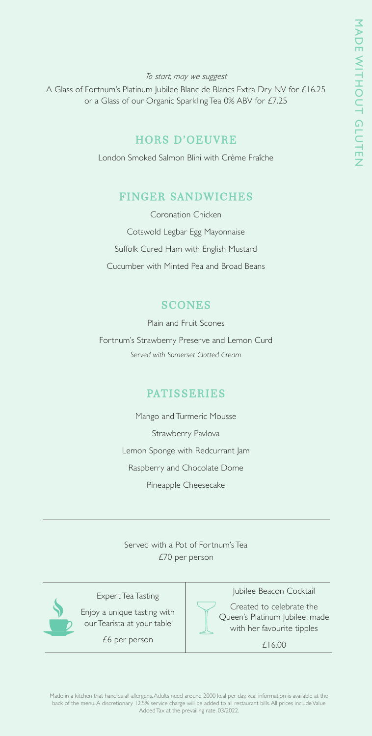#### *To start, may we suggest*

A Glass of Fortnum's Platinum Jubilee Blanc de Blancs Extra Dry NV for £16.25 or a Glass of our Organic Sparkling Tea 0% ABV for £7.25

### HORS D'OEUVRE

London Smoked Salmon Blini with Crème Fraîche

### FINGER SANDWICHES

Coronation Chicken Cotswold Legbar Egg Mayonnaise Suffolk Cured Ham with English Mustard Cucumber with Minted Pea and Broad Beans

### **SCONES**

Plain and Fruit Scones Fortnum's Strawberry Preserve and Lemon Curd *Served with Somerset Clotted Cream*

### PATISSERIES

Mango and Turmeric Mousse Strawberry Pavlova Lemon Sponge with Redcurrant Jam Raspberry and Chocolate Dome Pineapple Cheesecake

Served with a Pot of Fortnum's Tea £70 per person



Expert Tea Tasting

Enjoy a unique tasting with our Tearista at your table

£6 per person



Jubilee Beacon Cocktail

Created to celebrate the Queen's Platinum Jubilee, made with her favourite tipples

£16.00

Made in a kitchen that handles all allergens. Adults need around 2000 kcal per day, kcal information is available at the back of the menu. A discretionary 12.5% service charge will be added to all restaurant bills. All prices include Value Added Tax at the prevailing rate. 03/2022.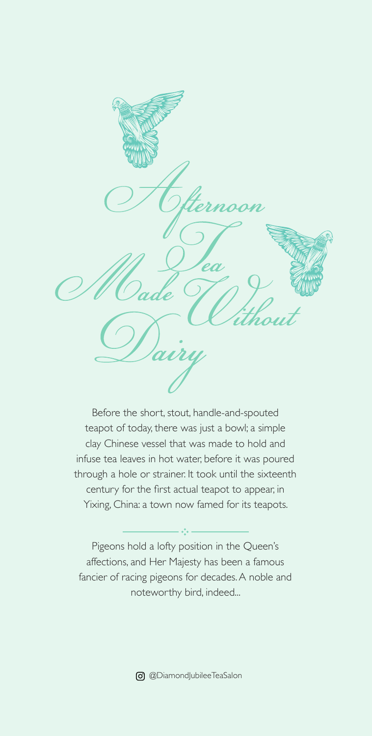son ea

Before the short, stout, handle-and-spouted teapot of today, there was just a bowl; a simple clay Chinese vessel that was made to hold and infuse tea leaves in hot water, before it was poured through a hole or strainer. It took until the sixteenth century for the first actual teapot to appear, in Yixing, China: a town now famed for its teapots.

Pigeons hold a lofty position in the Queen's affections, and Her Majesty has been a famous fancier of racing pigeons for decades. A noble and noteworthy bird, indeed...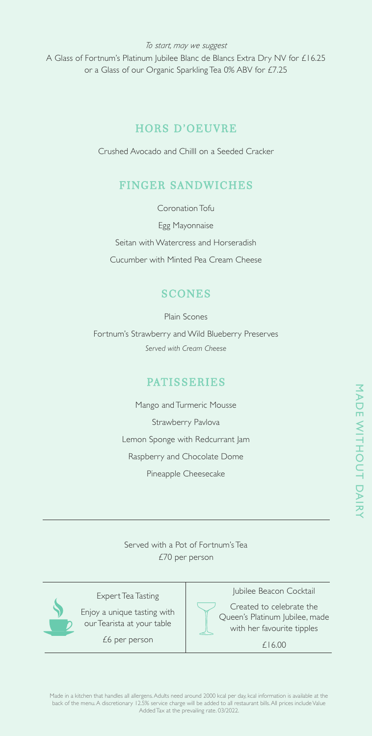*To start, may we suggest*

A Glass of Fortnum's Platinum Jubilee Blanc de Blancs Extra Dry NV for £16.25 or a Glass of our Organic Sparkling Tea 0% ABV for £7.25

# HORS D'OEUVRE

Crushed Avocado and ChillI on a Seeded Cracker

# FINGER SANDWICHES

Coronation Tofu

Egg Mayonnaise

Seitan with Watercress and Horseradish Cucumber with Minted Pea Cream Cheese

# **SCONES**

Plain Scones

Fortnum's Strawberry and Wild Blueberry Preserves *Served with Cream Cheese*

## PATISSERIES

Mango and Turmeric Mousse Strawberry Pavlova Lemon Sponge with Redcurrant Jam Raspberry and Chocolate Dome Pineapple Cheesecake

MADE WITHOUT DAIRY MADE WITHOUT DAIRY

Served with a Pot of Fortnum's Tea £70 per person



Expert Tea Tasting

Enjoy a unique tasting with our Tearista at your table

£6 per person



Jubilee Beacon Cocktail

Created to celebrate the Queen's Platinum Jubilee, made with her favourite tipples

£16.00

Made in a kitchen that handles all allergens. Adults need around 2000 kcal per day, kcal information is available at the back of the menu. A discretionary 12.5% service charge will be added to all restaurant bills. All prices include Value Added Tax at the prevailing rate. 03/2022.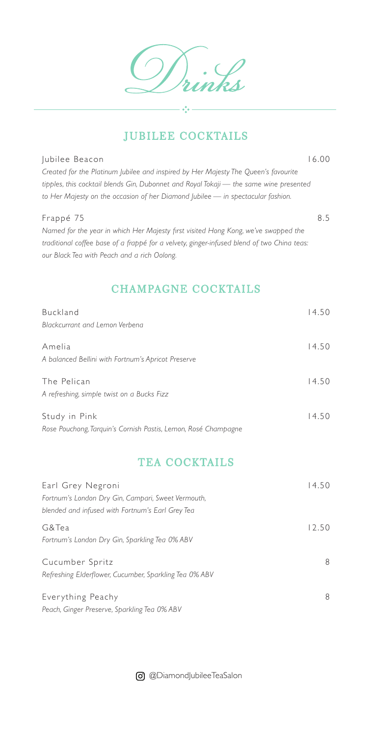# JUBILEE COCKTAILS

#### Jubilee Beacon 16.00

*Created for the Platinum Jubilee and inspired by Her Majesty The Queen's favourite tipples, this cocktail blends Gin, Dubonnet and Royal Tokaji — the same wine presented to Her Majesty on the occasion of her Diamond Jubilee — in spectacular fashion.* 

#### Frappé 75 8.5

*Named for the year in which Her Majesty first visited Hong Kong, we've swapped the traditional coffee base of a frappé for a velvety, ginger-infused blend of two China teas: our Black Tea with Peach and a rich Oolong.* 

# CHAMPAGNE COCKTAILS

| Buckland                                                       | 14.50 |
|----------------------------------------------------------------|-------|
| Blackcurrant and Lemon Verbena                                 |       |
| Amelia                                                         | 14.50 |
| A balanced Bellini with Fortnum's Apricot Preserve             |       |
| The Pelican                                                    | 14.50 |
| A refreshing, simple twist on a Bucks Fizz                     |       |
| Study in Pink                                                  | 14.50 |
| Rose Pouchong, Tarquin's Cornish Pastis, Lemon, Rosé Champagne |       |

## TEA COCKTAILS

| Earl Grey Negroni<br>Fortnum's London Dry Gin, Campari, Sweet Vermouth,<br>blended and infused with Fortnum's Earl Grey Tea | 14.50 |
|-----------------------------------------------------------------------------------------------------------------------------|-------|
| G&Tea<br>Fortnum's London Dry Gin, Sparkling Tea 0% ABV                                                                     | 12.50 |
| Cucumber Spritz<br>Refreshing Elderflower, Cucumber, Sparkling Tea 0% ABV                                                   | 8     |
| Everything Peachy<br>Peach, Ginger Preserve, Sparkling Tea 0% ABV                                                           | 8     |

@DiamondJubileeTeaSalon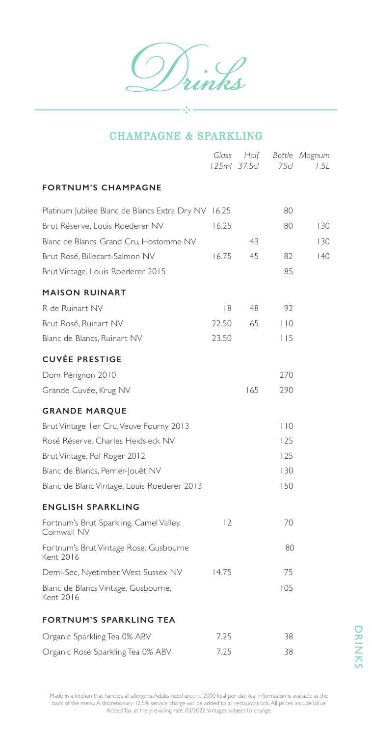ן<br>2

### CHAMPAGNE & SPARKLING

 $\frac{1}{2}$  ,  $\frac{1}{2}$ 

|                                                        | Glass | Half<br>125ml 37.5cl | 75 <sub>cl</sub> | Bottle Magnum<br>1.5L |
|--------------------------------------------------------|-------|----------------------|------------------|-----------------------|
| <b>FORTNUM'S CHAMPAGNE</b>                             |       |                      |                  |                       |
| Platinum Jubilee Blanc de Blancs Extra Dry NV          | 16.25 |                      | 80               |                       |
| Brut Réserve, Louis Roederer NV                        | 16.25 |                      | 80               | 130                   |
| Blanc de Blancs, Grand Cru, Hostomme NV                |       | 43                   |                  | 130                   |
| Brut Rosé, Billecart-Salmon NV                         | 16.75 | 45                   | 82               | 40                    |
| Brut Vintage, Louis Roederer 2015                      |       |                      | 85               |                       |
| <b>MAISON RUINART</b>                                  |       |                      |                  |                       |
| R de Ruinart NV                                        | 8     | 48                   | 92               |                       |
| Brut Rosé, Ruinart NV                                  | 22.50 | 65                   | 110              |                       |
| Blanc de Blancs, Ruinart NV                            | 23.50 |                      | 115              |                       |
| <b>CUVÉE PRESTIGE</b>                                  |       |                      |                  |                       |
| Dom Pérignon 2010                                      |       |                      | 270              |                       |
| Grande Cuvée, Krug NV                                  |       | 165                  | 290              |                       |
| <b>GRANDE MARQUE</b>                                   |       |                      |                  |                       |
| Brut Vintage I er Cru, Veuve Fourny 2013               |       |                      | $ $ $ $ 0        |                       |
| Rosé Réserve, Charles Heidsieck NV                     |       |                      | 125              |                       |
| Brut Vintage, Pol Roger 2012                           |       |                      | 125              |                       |
| Blanc de Blancs, Perrier-Jouët NV                      |       |                      | 130              |                       |
| Blanc de Blanc Vintage, Louis Roederer 2013            |       |                      | 150              |                       |
| <b>ENGLISH SPARKLING</b>                               |       |                      |                  |                       |
| Fortnum's Brut Sparkling, Camel Valley,<br>Cornwall NV | 12    |                      | 70               |                       |
| Fortnum's Brut Vintage Rose, Gusbourne<br>Kent 2016    |       |                      | 80               |                       |
| Demi-Sec, Nyetimber, West Sussex NV                    | 14.75 |                      | 75               |                       |
| Blanc de Blancs Vintage, Gusbourne,<br>Kent 2016       |       |                      | 105              |                       |
| <b>FORTNUM'S SPARKLING TEA</b>                         |       |                      |                  |                       |
| Organic Sparkling Tea 0% ABV                           | 7.25  |                      | 38               |                       |
| Organic Rosé Sparkling Tea 0% ABV                      | 7.25  |                      | 38               |                       |

Made in a kitchen that handles all allergens. Adults need around 2000 kcal per day, kcal information is available at the back of the menu. A discretionary 12.5% service charge will be added to all restaurant bills. All prices include Value Added Tax at the prevailing rate. 03/2022. Vintages subject to change.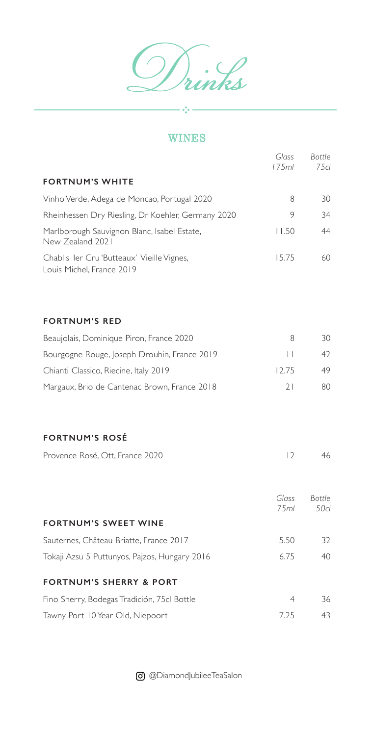.<br>nks  $\frac{1}{2}$ 

## WINES

 $\frac{1}{2}$ 

|                                                                         | Glass<br>175ml  | <b>Bottle</b><br>75cl |
|-------------------------------------------------------------------------|-----------------|-----------------------|
| <b>FORTNUM'S WHITE</b>                                                  |                 |                       |
| Vinho Verde, Adega de Moncao, Portugal 2020                             | 8               | 30                    |
| Rheinhessen Dry Riesling, Dr Koehler, Germany 2020                      | 9               | 34                    |
| Marlborough Sauvignon Blanc, Isabel Estate,<br>New Zealand 2021         | 11.50           | 44                    |
| Chablis Ier Cru 'Butteaux' Vieille Vignes,<br>Louis Michel, France 2019 | 15.75           | 60                    |
| <b>FORTNUM'S RED</b>                                                    |                 |                       |
| Beaujolais, Dominique Piron, France 2020                                | 8               | 30                    |
| Bourgogne Rouge, Joseph Drouhin, France 2019                            | $\vert \ \vert$ | 42                    |
| Chianti Classico, Riecine, Italy 2019                                   | 12.75           | 49                    |
| Margaux, Brio de Cantenac Brown, France 2018                            | 21              | 80                    |
| <b>FORTNUM'S ROSÉ</b>                                                   |                 |                       |
| Provence Rosé, Ott, France 2020                                         | 12              | 46                    |
|                                                                         | Glass<br>75ml   | <b>Bottle</b><br>50cl |
| <b>FORTNUM'S SWEET WINE</b>                                             |                 |                       |
| Sauternes, Château Briatte, France 2017                                 | 5.50            | 32                    |
| Tokaji Azsu 5 Puttunyos, Pajzos, Hungary 2016                           | 6.75            | 40                    |
| <b>FORTNUM'S SHERRY &amp; PORT</b>                                      |                 |                       |
| Fino Sherry, Bodegas Tradición, 75cl Bottle                             | 4               | 36                    |
| Tawny Port 10 Year Old, Niepoort                                        | 7.25            | 43                    |

@DiamondJubileeTeaSalon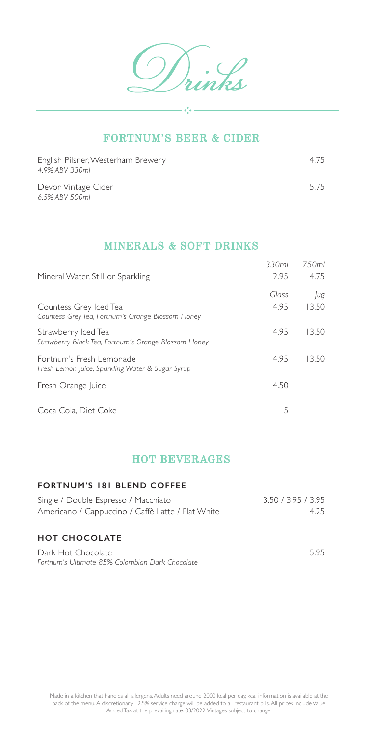$\frac{1}{2} + \frac{1}{2}$ 

### FORTNUM'S BEER & CIDER

| English Pilsner, Westerham Brewery<br>4.9% ABV 330ml | 4.75 |
|------------------------------------------------------|------|
| Devon Vintage Cider<br>6.5% ABV 500ml                | 5.75 |

### MINERALS & SOFT DRINKS

| Mineral Water, Still or Sparkling                                            | 330ml<br>2.95 | 7.50ml<br>4.75 |
|------------------------------------------------------------------------------|---------------|----------------|
| Countess Grey Iced Tea<br>Countess Grey Tea, Fortnum's Orange Blossom Honey  | Glass<br>4.95 | Jug<br>13.50   |
| Strawberry Iced Tea<br>Strawberry Black Tea, Fortnum's Orange Blossom Honey  | 4.95          | 13.50          |
| Fortnum's Fresh Lemonade<br>Fresh Lemon Juice, Sparkling Water & Sugar Syrup | 4.95          | 13.50          |
| Fresh Orange Juice                                                           | 4.50          |                |
| Coca Cola, Diet Coke                                                         | 5             |                |

## HOT BEVERAGES

#### **FORTNUM'S 181 BLEND COFFEE**

| Single / Double Espresso / Macchiato              | 3.50 / 3.95 / 3.95 |
|---------------------------------------------------|--------------------|
| Americano / Cappuccino / Caffè Latte / Flat White | 4.25               |
|                                                   |                    |
| <b>HOT CHOCOLATE</b>                              |                    |
| Dark Hot Chocolate                                | 595                |
| Fortnum's Ultimate 85% Colombian Dark Chocolate   |                    |